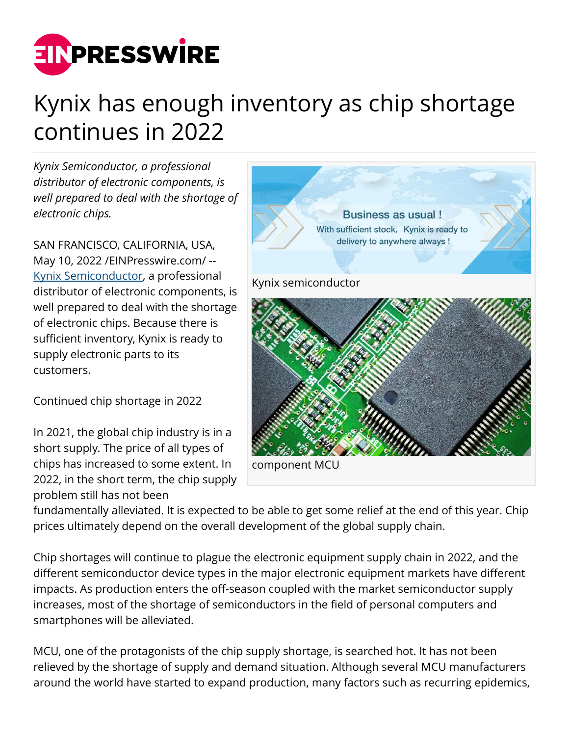

## Kynix has enough inventory as chip shortage continues in 2022

*Kynix Semiconductor, a professional distributor of electronic components, is well prepared to deal with the shortage of electronic chips.*

SAN FRANCISCO, CALIFORNIA, USA, May 10, 2022 [/EINPresswire.com](http://www.einpresswire.com)/ -- [Kynix Semiconductor,](http://www.kynix.com) a professional distributor of electronic components, is well prepared to deal with the shortage of electronic chips. Because there is sufficient inventory, Kynix is ready to supply electronic parts to its customers.

Continued chip shortage in 2022

In 2021, the global chip industry is in a short supply. The price of all types of chips has increased to some extent. In 2022, in the short term, the chip supply problem still has not been



fundamentally alleviated. It is expected to be able to get some relief at the end of this year. Chip prices ultimately depend on the overall development of the global supply chain.

Chip shortages will continue to plague the electronic equipment supply chain in 2022, and the different semiconductor device types in the major electronic equipment markets have different impacts. As production enters the off-season coupled with the market semiconductor supply increases, most of the shortage of semiconductors in the field of personal computers and smartphones will be alleviated.

MCU, one of the protagonists of the chip supply shortage, is searched hot. It has not been relieved by the shortage of supply and demand situation. Although several MCU manufacturers around the world have started to expand production, many factors such as recurring epidemics,